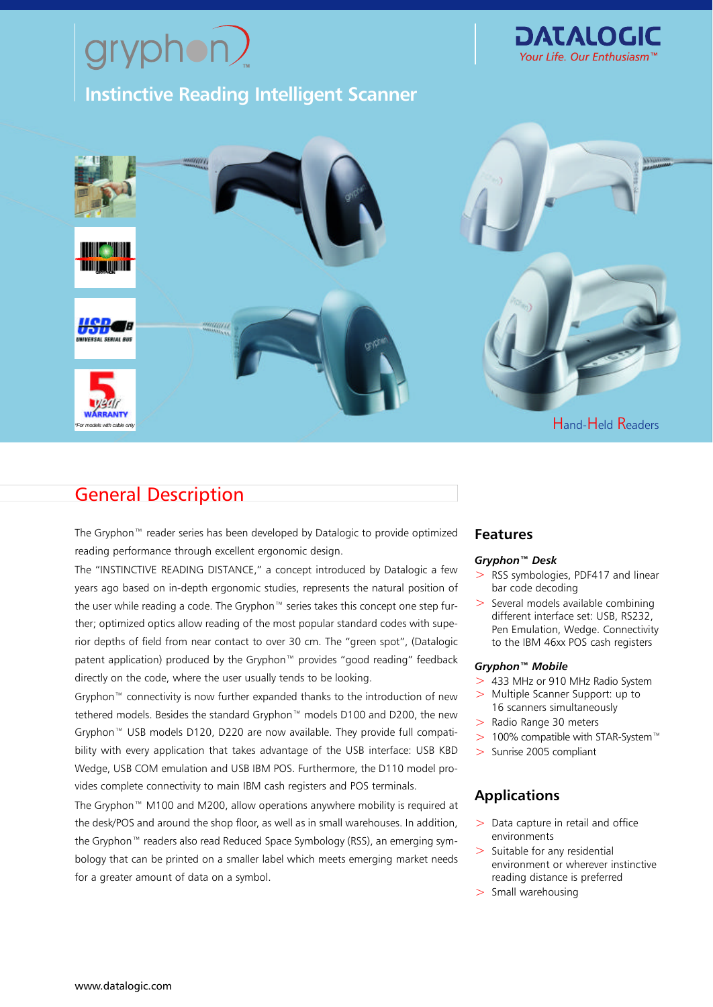# $yryphon?$

**Instinctive Reading Intelligent Scanner**





# General Description

The Gryphon™ reader series has been developed by Datalogic to provide optimized reading performance through excellent ergonomic design.

The "INSTINCTIVE READING DISTANCE," a concept introduced by Datalogic a few years ago based on in-depth ergonomic studies, represents the natural position of the user while reading a code. The Gryphon™ series takes this concept one step further; optimized optics allow reading of the most popular standard codes with superior depths of field from near contact to over 30 cm. The "green spot", (Datalogic patent application) produced by the Gryphon™ provides "good reading" feedback directly on the code, where the user usually tends to be looking.

Gryphon™ connectivity is now further expanded thanks to the introduction of new tethered models. Besides the standard Gryphon™ models D100 and D200, the new Gryphon™ USB models D120, D220 are now available. They provide full compatibility with every application that takes advantage of the USB interface: USB KBD Wedge, USB COM emulation and USB IBM POS. Furthermore, the D110 model provides complete connectivity to main IBM cash registers and POS terminals.

The Gryphon™ M100 and M200, allow operations anywhere mobility is required at the desk/POS and around the shop floor, as well as in small warehouses. In addition, the Gryphon™ readers also read Reduced Space Symbology (RSS), an emerging symbology that can be printed on a smaller label which meets emerging market needs for a greater amount of data on a symbol.

# **Features**

### *Gryphon™ Desk*

- > RSS symbologies, PDF417 and linear bar code decoding
- > Several models available combining different interface set: USB, RS232, Pen Emulation, Wedge. Connectivity to the IBM 46xx POS cash registers

### *Gryphon™ Mobile*

- > 433 MHz or 910 MHz Radio System
- > Multiple Scanner Support: up to 16 scanners simultaneously
- > Radio Range 30 meters
- > 100% compatible with STAR-System™
- > Sunrise 2005 compliant

# **Applications**

- $>$  Data capture in retail and office environments
- $>$  Suitable for any residential environment or wherever instinctive reading distance is preferred
- > Small warehousing